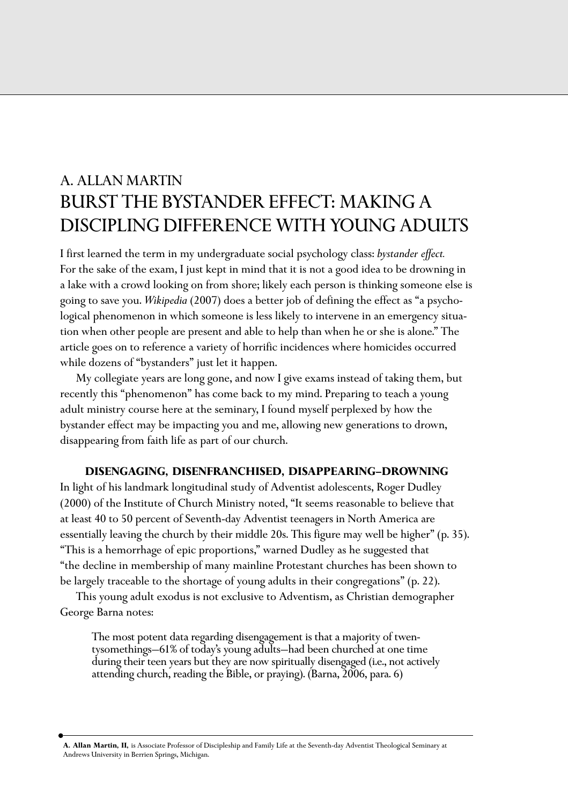# A. ALLAN MARTIN BURST THE BYSTANDER EFFECT: MAKING A DISCIPLING DIFFERENCE WITH YOUNG ADULTS

I first learned the term in my undergraduate social psychology class: *bystander effect.*  For the sake of the exam, I just kept in mind that it is not a good idea to be drowning in a lake with a crowd looking on from shore; likely each person is thinking someone else is going to save you. *Wikipedia* (2007) does a better job of defining the effect as "a psychological phenomenon in which someone is less likely to intervene in an emergency situation when other people are present and able to help than when he or she is alone." The article goes on to reference a variety of horrific incidences where homicides occurred while dozens of "bystanders" just let it happen.

My collegiate years are long gone, and now I give exams instead of taking them, but recently this "phenomenon" has come back to my mind. Preparing to teach a young adult ministry course here at the seminary, I found myself perplexed by how the bystander effect may be impacting you and me, allowing new generations to drown, disappearing from faith life as part of our church.

## **DISENGAGING, DISENFRANCHISED, DISAPPEARING—DROWNING**

In light of his landmark longitudinal study of Adventist adolescents, Roger Dudley (2000) of the Institute of Church Ministry noted, "It seems reasonable to believe that at least 40 to 50 percent of Seventh-day Adventist teenagers in North America are essentially leaving the church by their middle 20s. This figure may well be higher" (p. 35). "This is a hemorrhage of epic proportions," warned Dudley as he suggested that "the decline in membership of many mainline Protestant churches has been shown to be largely traceable to the shortage of young adults in their congregations" (p. 22).

This young adult exodus is not exclusive to Adventism, as Christian demographer George Barna notes:

The most potent data regarding disengagement is that a majority of twentysomethings—61% of today's young adults—had been churched at one time during their teen years but they are now spiritually disengaged (i.e., not actively attending church, reading the Bible, or praying). (Barna, 2006, para. 6)

**A. Allan Martin, II,** is Associate Professor of Discipleship and Family Life at the Seventh-day Adventist Theological Seminary at Andrews University in Berrien Springs, Michigan.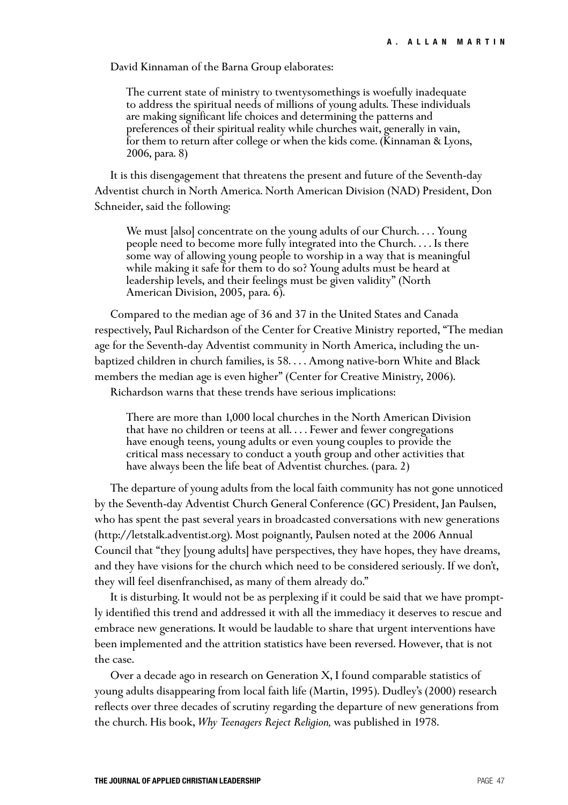David Kinnaman of the Barna Group elaborates:

The current state of ministry to twentysomethings is woefully inadequate to address the spiritual needs of millions of young adults. These individuals are making significant life choices and determining the patterns and preferences of their spiritual reality while churches wait, generally in vain, for them to return after college or when the kids come. (Kinnaman & Lyons, 2006, para. 8)

It is this disengagement that threatens the present and future of the Seventh-day Adventist church in North America. North American Division (NAD) President, Don Schneider, said the following:

We must [also] concentrate on the young adults of our Church.... Young people need to become more fully integrated into the Church. . . . Is there some way of allowing young people to worship in a way that is meaningful while making it safe for them to do so? Young adults must be heard at leadership levels, and their feelings must be given validity" (North American Division, 2005, para. 6).

Compared to the median age of 36 and 37 in the United States and Canada respectively, Paul Richardson of the Center for Creative Ministry reported, "The median age for the Seventh-day Adventist community in North America, including the unbaptized children in church families, is 58. . . . Among native-born White and Black members the median age is even higher" (Center for Creative Ministry, 2006).

Richardson warns that these trends have serious implications:

There are more than 1,000 local churches in the North American Division that have no children or teens at all. . . . Fewer and fewer congregations have enough teens, young adults or even young couples to provide the critical mass necessary to conduct a youth group and other activities that have always been the life beat of Adventist churches. (para. 2)

The departure of young adults from the local faith community has not gone unnoticed by the Seventh-day Adventist Church General Conference (GC) President, Jan Paulsen, who has spent the past several years in broadcasted conversations with new generations (http://letstalk.adventist.org). Most poignantly, Paulsen noted at the 2006 Annual Council that "they [young adults] have perspectives, they have hopes, they have dreams, and they have visions for the church which need to be considered seriously. If we don't, they will feel disenfranchised, as many of them already do."

It is disturbing. It would not be as perplexing if it could be said that we have promptly identified this trend and addressed it with all the immediacy it deserves to rescue and embrace new generations. It would be laudable to share that urgent interventions have been implemented and the attrition statistics have been reversed. However, that is not the case.

Over a decade ago in research on Generation X, I found comparable statistics of young adults disappearing from local faith life (Martin, 1995). Dudley's (2000) research reflects over three decades of scrutiny regarding the departure of new generations from the church. His book, *Why Teenagers Reject Religion,* was published in 1978.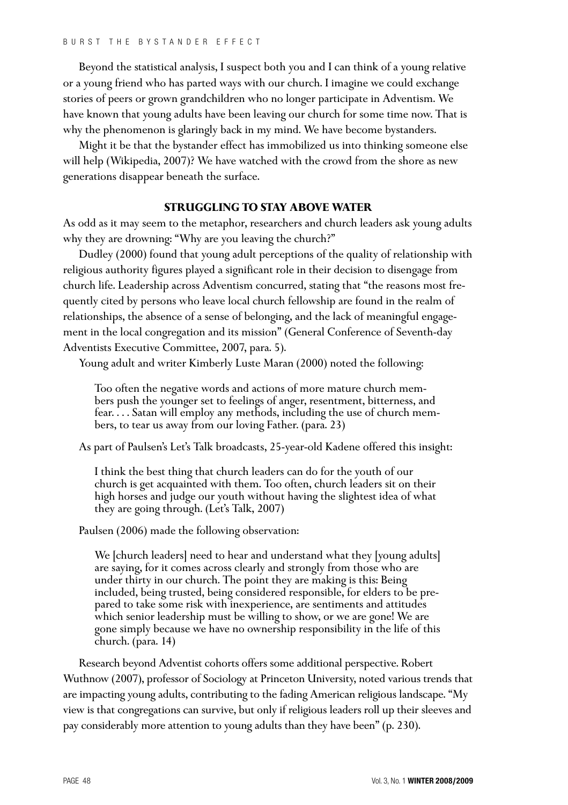Beyond the statistical analysis, I suspect both you and I can think of a young relative or a young friend who has parted ways with our church. I imagine we could exchange stories of peers or grown grandchildren who no longer participate in Adventism. We have known that young adults have been leaving our church for some time now. That is why the phenomenon is glaringly back in my mind. We have become bystanders.

Might it be that the bystander effect has immobilized us into thinking someone else will help (Wikipedia, 2007)? We have watched with the crowd from the shore as new generations disappear beneath the surface.

## **STRUGGLING TO STAY ABOVE WATER**

As odd as it may seem to the metaphor, researchers and church leaders ask young adults why they are drowning: "Why are you leaving the church?"

Dudley (2000) found that young adult perceptions of the quality of relationship with religious authority figures played a significant role in their decision to disengage from church life. Leadership across Adventism concurred, stating that "the reasons most frequently cited by persons who leave local church fellowship are found in the realm of relationships, the absence of a sense of belonging, and the lack of meaningful engagement in the local congregation and its mission" (General Conference of Seventh-day Adventists Executive Committee, 2007, para. 5).

Young adult and writer Kimberly Luste Maran (2000) noted the following:

Too often the negative words and actions of more mature church members push the younger set to feelings of anger, resentment, bitterness, and fear. . . . Satan will employ any methods, including the use of church members, to tear us away from our loving Father. (para. 23)

As part of Paulsen's Let's Talk broadcasts, 25-year-old Kadene offered this insight:

I think the best thing that church leaders can do for the youth of our church is get acquainted with them. Too often, church leaders sit on their high horses and judge our youth without having the slightest idea of what they are going through. (Let's Talk, 2007)

Paulsen (2006) made the following observation:

We [church leaders] need to hear and understand what they [young adults] are saying, for it comes across clearly and strongly from those who are under thirty in our church. The point they are making is this: Being included, being trusted, being considered responsible, for elders to be prepared to take some risk with inexperience, are sentiments and attitudes which senior leadership must be willing to show, or we are gone! We are gone simply because we have no ownership responsibility in the life of this church. (para. 14)

Research beyond Adventist cohorts offers some additional perspective. Robert Wuthnow (2007), professor of Sociology at Princeton University, noted various trends that are impacting young adults, contributing to the fading American religious landscape. "My view is that congregations can survive, but only if religious leaders roll up their sleeves and pay considerably more attention to young adults than they have been" (p. 230).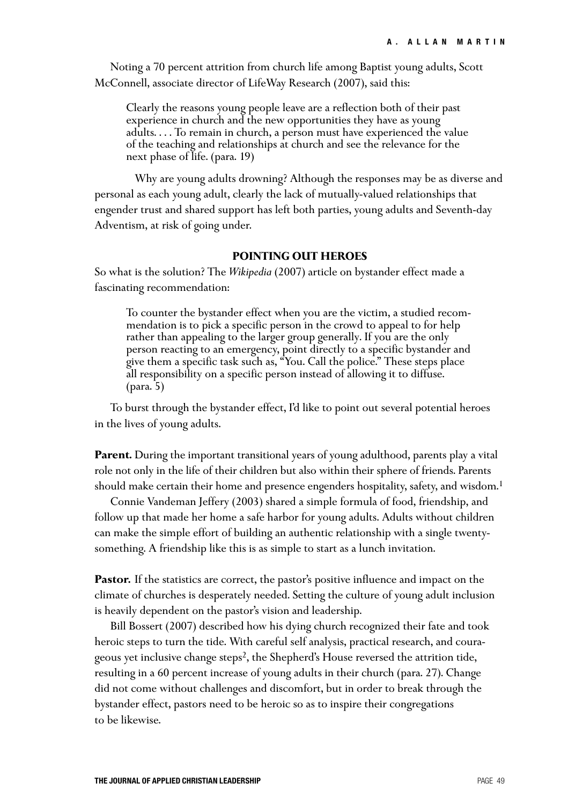Noting a 70 percent attrition from church life among Baptist young adults, Scott McConnell, associate director of LifeWay Research (2007), said this:

Clearly the reasons young people leave are a reflection both of their past experience in church and the new opportunities they have as young adults. . . . To remain in church, a person must have experienced the value of the teaching and relationships at church and see the relevance for the next phase of life. (para. 19)

Why are young adults drowning? Although the responses may be as diverse and personal as each young adult, clearly the lack of mutually-valued relationships that engender trust and shared support has left both parties, young adults and Seventh-day Adventism, at risk of going under.

#### **POINTING OUT HEROES**

So what is the solution? The *Wikipedia* (2007) article on bystander effect made a fascinating recommendation:

To counter the bystander effect when you are the victim, a studied recommendation is to pick a specific person in the crowd to appeal to for help rather than appealing to the larger group generally. If you are the only person reacting to an emergency, point directly to a specific bystander and give them a specific task such as, "You. Call the police." These steps place all responsibility on a specific person instead of allowing it to diffuse. (para. 5)

To burst through the bystander effect, I'd like to point out several potential heroes in the lives of young adults.

**Parent.** During the important transitional years of young adulthood, parents play a vital role not only in the life of their children but also within their sphere of friends. Parents should make certain their home and presence engenders hospitality, safety, and wisdom.<sup>1</sup>

Connie Vandeman Jeffery (2003) shared a simple formula of food, friendship, and follow up that made her home a safe harbor for young adults. Adults without children can make the simple effort of building an authentic relationship with a single twentysomething. A friendship like this is as simple to start as a lunch invitation.

**Pastor.** If the statistics are correct, the pastor's positive influence and impact on the climate of churches is desperately needed. Setting the culture of young adult inclusion is heavily dependent on the pastor's vision and leadership.

Bill Bossert (2007) described how his dying church recognized their fate and took heroic steps to turn the tide. With careful self analysis, practical research, and courageous yet inclusive change steps2, the Shepherd's House reversed the attrition tide, resulting in a 60 percent increase of young adults in their church (para. 27). Change did not come without challenges and discomfort, but in order to break through the bystander effect, pastors need to be heroic so as to inspire their congregations to be likewise.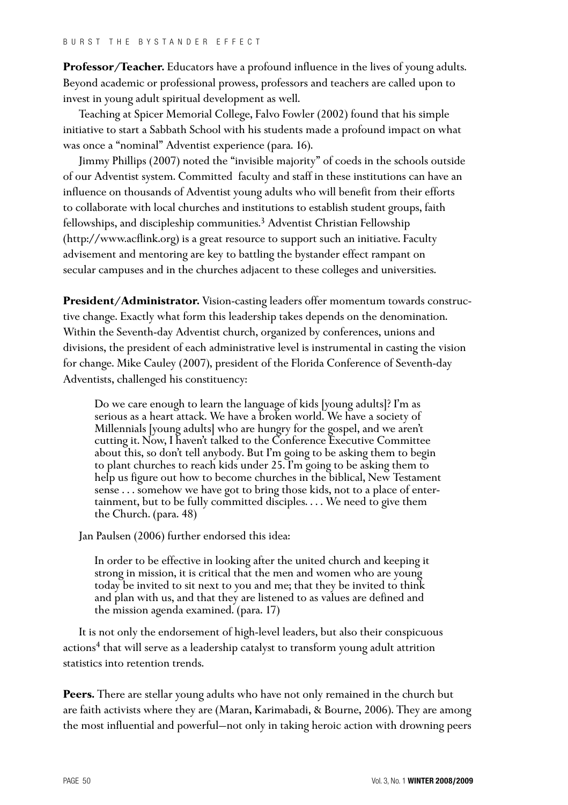**Professor/Teacher.** Educators have a profound influence in the lives of young adults. Beyond academic or professional prowess, professors and teachers are called upon to invest in young adult spiritual development as well.

Teaching at Spicer Memorial College, Falvo Fowler (2002) found that his simple initiative to start a Sabbath School with his students made a profound impact on what was once a "nominal" Adventist experience (para. 16).

Jimmy Phillips (2007) noted the "invisible majority" of coeds in the schools outside of our Adventist system. Committed faculty and staff in these institutions can have an influence on thousands of Adventist young adults who will benefit from their efforts to collaborate with local churches and institutions to establish student groups, faith fellowships, and discipleship communities.3 Adventist Christian Fellowship (http://www.acflink.org) is a great resource to support such an initiative. Faculty advisement and mentoring are key to battling the bystander effect rampant on secular campuses and in the churches adjacent to these colleges and universities.

**President/Administrator.** Vision-casting leaders offer momentum towards constructive change. Exactly what form this leadership takes depends on the denomination. Within the Seventh-day Adventist church, organized by conferences, unions and divisions, the president of each administrative level is instrumental in casting the vision for change. Mike Cauley (2007), president of the Florida Conference of Seventh-day Adventists, challenged his constituency:

Do we care enough to learn the language of kids [young adults]? I'm as serious as a heart attack. We have a broken world. We have a society of Millennials [young adults] who are hungry for the gospel, and we aren't cutting it. Now, I haven't talked to the Conference Executive Committee about this, so don't tell anybody. But I'm going to be asking them to begin to plant churches to reach kids under 25. I'm going to be asking them to help us figure out how to become churches in the biblical, New Testament sense . . . somehow we have got to bring those kids, not to a place of entertainment, but to be fully committed disciples. . . . We need to give them the Church. (para. 48)

Jan Paulsen (2006) further endorsed this idea:

In order to be effective in looking after the united church and keeping it strong in mission, it is critical that the men and women who are young today be invited to sit next to you and me; that they be invited to think and plan with us, and that they are listened to as values are defined and the mission agenda examined. (para. 17)

It is not only the endorsement of high-level leaders, but also their conspicuous actions<sup>4</sup> that will serve as a leadership catalyst to transform young adult attrition statistics into retention trends.

**Peers.** There are stellar young adults who have not only remained in the church but are faith activists where they are (Maran, Karimabadi, & Bourne, 2006). They are among the most influential and powerful—not only in taking heroic action with drowning peers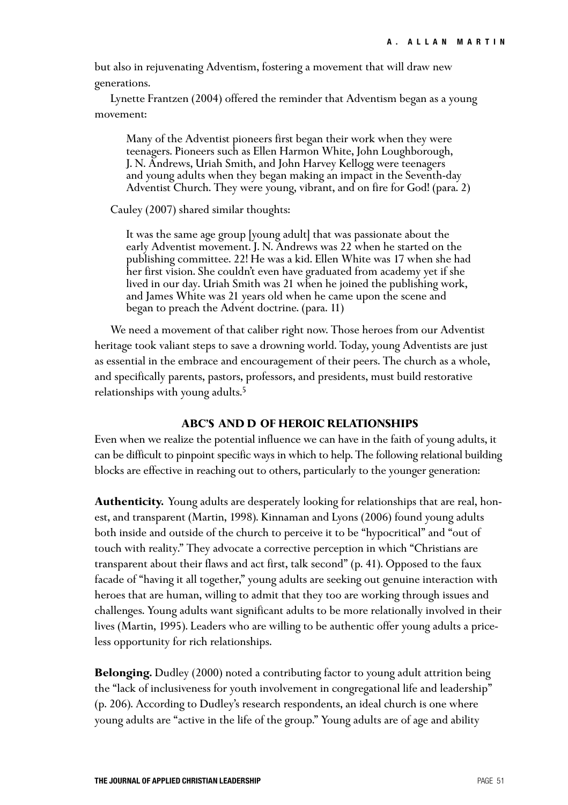but also in rejuvenating Adventism, fostering a movement that will draw new generations.

Lynette Frantzen (2004) offered the reminder that Adventism began as a young movement:

Many of the Adventist pioneers first began their work when they were teenagers. Pioneers such as Ellen Harmon White, John Loughborough, J. N. Andrews, Uriah Smith, and John Harvey Kellogg were teenagers and young adults when they began making an impact in the Seventh-day Adventist Church. They were young, vibrant, and on fire for God! (para. 2)

Cauley (2007) shared similar thoughts:

It was the same age group [young adult] that was passionate about the early Adventist movement. J. N. Andrews was 22 when he started on the publishing committee. 22! He was a kid. Ellen White was 17 when she had her first vision. She couldn't even have graduated from academy yet if she lived in our day. Uriah Smith was 21 when he joined the publishing work, and James White was 21 years old when he came upon the scene and began to preach the Advent doctrine. (para. 11)

We need a movement of that caliber right now. Those heroes from our Adventist heritage took valiant steps to save a drowning world. Today, young Adventists are just as essential in the embrace and encouragement of their peers. The church as a whole, and specifically parents, pastors, professors, and presidents, must build restorative relationships with young adults.<sup>5</sup>

### **ABC'S AND D OF HEROIC RELATIONSHIPS**

Even when we realize the potential influence we can have in the faith of young adults, it can be difficult to pinpoint specific ways in which to help. The following relational building blocks are effective in reaching out to others, particularly to the younger generation:

**Authenticity.** Young adults are desperately looking for relationships that are real, honest, and transparent (Martin, 1998). Kinnaman and Lyons (2006) found young adults both inside and outside of the church to perceive it to be "hypocritical" and "out of touch with reality." They advocate a corrective perception in which "Christians are transparent about their flaws and act first, talk second" (p. 41). Opposed to the faux facade of "having it all together," young adults are seeking out genuine interaction with heroes that are human, willing to admit that they too are working through issues and challenges. Young adults want significant adults to be more relationally involved in their lives (Martin, 1995). Leaders who are willing to be authentic offer young adults a priceless opportunity for rich relationships.

**Belonging.** Dudley (2000) noted a contributing factor to young adult attrition being the "lack of inclusiveness for youth involvement in congregational life and leadership" (p. 206). According to Dudley's research respondents, an ideal church is one where young adults are "active in the life of the group." Young adults are of age and ability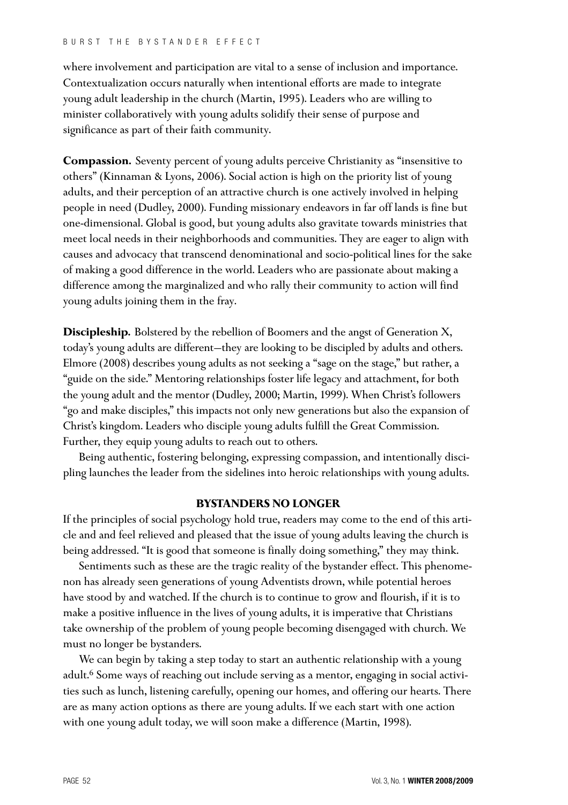where involvement and participation are vital to a sense of inclusion and importance. Contextualization occurs naturally when intentional efforts are made to integrate young adult leadership in the church (Martin, 1995). Leaders who are willing to minister collaboratively with young adults solidify their sense of purpose and significance as part of their faith community.

**Compassion.** Seventy percent of young adults perceive Christianity as "insensitive to others" (Kinnaman & Lyons, 2006). Social action is high on the priority list of young adults, and their perception of an attractive church is one actively involved in helping people in need (Dudley, 2000). Funding missionary endeavors in far off lands is fine but one-dimensional. Global is good, but young adults also gravitate towards ministries that meet local needs in their neighborhoods and communities. They are eager to align with causes and advocacy that transcend denominational and socio-political lines for the sake of making a good difference in the world. Leaders who are passionate about making a difference among the marginalized and who rally their community to action will find young adults joining them in the fray.

**Discipleship.** Bolstered by the rebellion of Boomers and the angst of Generation X, today's young adults are different—they are looking to be discipled by adults and others. Elmore (2008) describes young adults as not seeking a "sage on the stage," but rather, a "guide on the side." Mentoring relationships foster life legacy and attachment, for both the young adult and the mentor (Dudley, 2000; Martin, 1999). When Christ's followers "go and make disciples," this impacts not only new generations but also the expansion of Christ's kingdom. Leaders who disciple young adults fulfill the Great Commission. Further, they equip young adults to reach out to others.

Being authentic, fostering belonging, expressing compassion, and intentionally discipling launches the leader from the sidelines into heroic relationships with young adults.

## **BYSTANDERS NO LONGER**

If the principles of social psychology hold true, readers may come to the end of this article and and feel relieved and pleased that the issue of young adults leaving the church is being addressed. "It is good that someone is finally doing something," they may think.

Sentiments such as these are the tragic reality of the bystander effect. This phenomenon has already seen generations of young Adventists drown, while potential heroes have stood by and watched. If the church is to continue to grow and flourish, if it is to make a positive influence in the lives of young adults, it is imperative that Christians take ownership of the problem of young people becoming disengaged with church. We must no longer be bystanders.

We can begin by taking a step today to start an authentic relationship with a young adult.<sup>6</sup> Some ways of reaching out include serving as a mentor, engaging in social activities such as lunch, listening carefully, opening our homes, and offering our hearts. There are as many action options as there are young adults. If we each start with one action with one young adult today, we will soon make a difference (Martin, 1998).